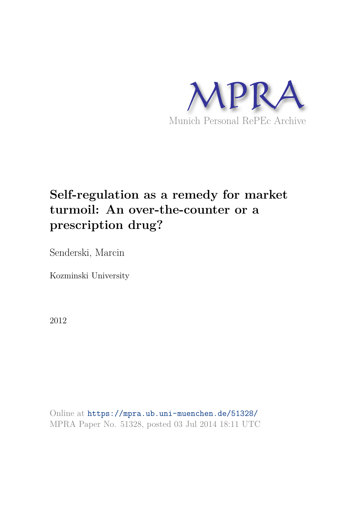

# **Self-regulation as a remedy for market turmoil: An over-the-counter or a prescription drug?**

Senderski, Marcin

Kozminski University

2012

Online at https://mpra.ub.uni-muenchen.de/51328/ MPRA Paper No. 51328, posted 03 Jul 2014 18:11 UTC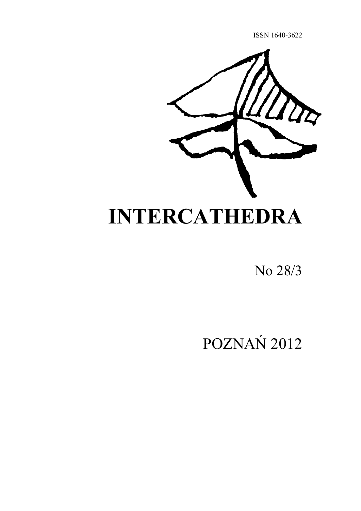ISSN 1640-3622



No 28/3

POZNAŃ 2012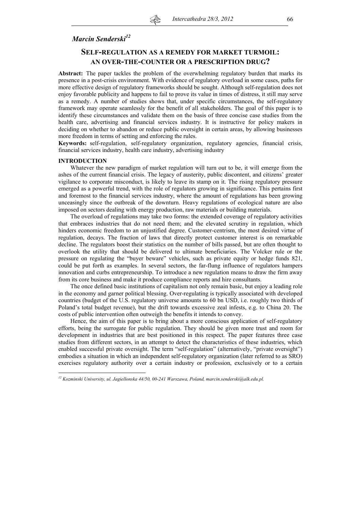# *Marcin Senderski<sup>12</sup>*

# **SELF-REGULATION AS A REMEDY FOR MARKET TURMOIL: AN OVER-THE-COUNTER OR A PRESCRIPTION DRUG?**

**Abstract:** The paper tackles the problem of the overwhelming regulatory burden that marks its presence in a post-crisis environment. With evidence of regulatory overload in some cases, paths for more effective design of regulatory frameworks should be sought. Although self-regulation does not enjoy favorable publicity and happens to fail to prove its value in times of distress, it still may serve as a remedy. A number of studies shows that, under specific circumstances, the self-regulatory framework may operate seamlessly for the benefit of all stakeholders. The goal of this paper is to identify these circumstances and validate them on the basis of three concise case studies from the health care, advertising and financial services industry. It is instructive for policy makers in deciding on whether to abandon or reduce public oversight in certain areas, by allowing businesses more freedom in terms of setting and enforcing the rules.

**Keywords:** self-regulation, self-regulatory organization, regulatory agencies, financial crisis, financial services industry, health care industry, advertising industry

### **INTRODUCTION**

-

Whatever the new paradigm of market regulation will turn out to be, it will emerge from the ashes of the current financial crisis. The legacy of austerity, public discontent, and citizens' greater vigilance to corporate misconduct, is likely to leave its stamp on it. The rising regulatory pressure emerged as a powerful trend, with the role of regulators growing in significance. This pertains first and foremost to the financial services industry, where the amount of regulations has been growing unceasingly since the outbreak of the downturn. Heavy regulations of ecological nature are also imposed on sectors dealing with energy production, raw materials or building materials.

The overload of regulations may take two forms: the extended coverage of regulatory activities that embraces industries that do not need them; and the elevated scrutiny in regulation, which hinders economic freedom to an unjustified degree. Customer-centrism, the most desired virtue of regulation, decays. The fraction of laws that directly protect customer interest is on remarkable decline. The regulators boost their statistics on the number of bills passed, but are often thought to overlook the utility that should be delivered to ultimate beneficiaries. The Volcker rule or the pressure on regulating the "buyer beware" vehicles, such as private equity or hedge funds 821, could be put forth as examples. In several sectors, the far-flung influence of regulators hampers innovation and curbs entrepreneurship. To introduce a new regulation means to draw the firm away from its core business and make it produce compliance reports and hire consultants.

The once defined basic institutions of capitalism not only remain basic, but enjoy a leading role in the economy and garner political blessing. Over-regulating is typically associated with developed countries (budget of the U.S. regulatory universe amounts to 60 bn USD, i.e. roughly two thirds of Poland's total budget revenue), but the drift towards excessive zeal infests, e.g. to China 20. The costs of public intervention often outweigh the benefits it intends to convey.

Hence, the aim of this paper is to bring about a more conscious application of self-regulatory efforts, being the surrogate for public regulation. They should be given more trust and room for development in industries that are best positioned in this respect. The paper features three case studies from different sectors, in an attempt to detect the characteristics of these industries, which enabled successful private oversight. The term "self-regulation" (alternatively, "private oversight") embodies a situation in which an independent self-regulatory organization (later referred to as SRO) exercises regulatory authority over a certain industry or profession, exclusively or to a certain

*<sup>12</sup> Kozminski University, ul. Jagiellonska 44/50, 00-241 Warszawa, Poland, marcin.senderski@alk.edu.pl.*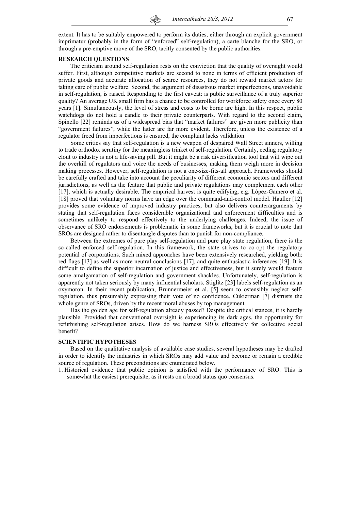extent. It has to be suitably empowered to perform its duties, either through an explicit government imprimatur (probably in the form of "enforced" self-regulation), a carte blanche for the SRO, or through a pre-emptive move of the SRO, tacitly consented by the public authorities.

### **RESEARCH QUESTIONS**

The criticism around self-regulation rests on the conviction that the quality of oversight would suffer. First, although competitive markets are second to none in terms of efficient production of private goods and accurate allocation of scarce resources, they do not reward market actors for taking care of public welfare. Second, the argument of disastrous market imperfections, unavoidable in self-regulation, is raised. Responding to the first caveat: is public surveillance of a truly superior quality? An average UK small firm has a chance to be controlled for workforce safety once every 80 years [1]. Simultaneously, the level of stress and costs to be borne are high. In this respect, public watchdogs do not hold a candle to their private counterparts. With regard to the second claim, Spinello [22] reminds us of a widespread bias that "market failures" are given more publicity than "government failures", while the latter are far more evident. Therefore, unless the existence of a regulator freed from imperfections is ensured, the complaint lacks validation.

Some critics say that self-regulation is a new weapon of despaired Wall Street sinners, willing to trade orthodox scrutiny for the meaningless trinket of self-regulation. Certainly, ceding regulatory clout to industry is not a life-saving pill. But it might be a risk diversification tool that will wipe out the overkill of regulators and voice the needs of businesses, making them weigh more in decision making processes. However, self-regulation is not a one-size-fits-all approach. Frameworks should be carefully crafted and take into account the peculiarity of different economic sectors and different jurisdictions, as well as the feature that public and private regulations may complement each other [17], which is actually desirable. The empirical harvest is quite edifying, e.g. López-Gamero et al. [18] proved that voluntary norms have an edge over the command-and-control model. Haufler [12] provides some evidence of improved industry practices, but also delivers counterarguments by stating that self-regulation faces considerable organizational and enforcement difficulties and is sometimes unlikely to respond effectively to the underlying challenges. Indeed, the issue of observance of SRO endorsements is problematic in some frameworks, but it is crucial to note that SROs are designed rather to disentangle disputes than to punish for non-compliance.

Between the extremes of pure play self-regulation and pure play state regulation, there is the so-called enforced self-regulation. In this framework, the state strives to co-opt the regulatory potential of corporations. Such mixed approaches have been extensively researched, yielding both: red flags [13] as well as more neutral conclusions [17], and quite enthusiastic inferences [19]. It is difficult to define the superior incarnation of justice and effectiveness, but it surely would feature some amalgamation of self-regulation and government shackles. Unfortunately, self-regulation is apparently not taken seriously by many influential scholars. Stiglitz [23] labels self-regulation as an oxymoron. In their recent publication, Brunnermeier et al. [5] seem to ostensibly neglect selfregulation, thus presumably expressing their vote of no confidence. Cukierman [7] distrusts the whole genre of SROs, driven by the recent moral abuses by top management.

Has the golden age for self-regulation already passed? Despite the critical stances, it is hardly plausible. Provided that conventional oversight is experiencing its dark ages, the opportunity for refurbishing self-regulation arises. How do we harness SROs effectively for collective social benefit?

## **SCIENTIFIC HYPOTHESES**

Based on the qualitative analysis of available case studies, several hypotheses may be drafted in order to identify the industries in which SROs may add value and become or remain a credible source of regulation. These preconditions are enumerated below.

1. Historical evidence that public opinion is satisfied with the performance of SRO. This is somewhat the easiest prerequisite, as it rests on a broad status quo consensus.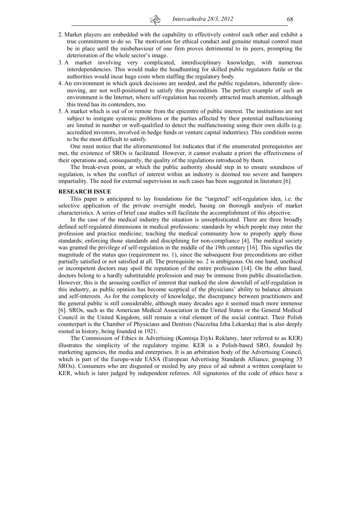- 2. Market players are embedded with the capability to effectively control each other and exhibit a true commitment to do so. The motivation for ethical conduct and genuine mutual control must be in place until the misbehaviour of one firm proves detrimental to its peers, prompting the deterioration of the whole sector's image.
- 3. A market involving very complicated, interdisciplinary knowledge, with numerous interdependencies. This would make the headhunting for skilled public regulators futile or the authorities would incur huge costs when staffing the regulatory body.
- 4. An environment in which quick decisions are needed, and the public regulators, inherently slowmoving, are not well-positioned to satisfy this precondition. The perfect example of such an environment is the Internet, where self-regulation has recently attracted much attention, although this trend has its contenders, too.
- 5. A market which is out of or remote from the epicentre of public interest. The institutions are not subject to instigate systemic problems or the parties affected by their potential malfunctioning are limited in number or well-qualified to detect the malfunctioning using their own skills (e.g. accredited investors, involved in hedge funds or venture capital industries). This condition seems to be the most difficult to satisfy.

One must notice that the aforementioned list indicates that if the enumerated prerequisites are met, the existence of SROs is facilitated. However, it cannot evaluate a priori the effectiveness of their operations and, consequently, the quality of the regulations introduced by them.

The break-even point, at which the public authority should step in to ensure soundness of regulation, is when the conflict of interest within an industry is deemed too severe and hampers impartiality. The need for external supervision in such cases has been suggested in literature [6].

#### **RESEARCH ISSUE**

This paper is anticipated to lay foundations for the "targeted" self-regulation idea, i.e. the selective application of the private oversight model, basing on thorough analysis of market characteristics. A series of brief case studies will facilitate the accomplishment of this objective.

In the case of the medical industry the situation is unsophisticated. There are three broadly defined self-regulated dimensions in medical professions: standards by which people may enter the profession and practice medicine; teaching the medical community how to properly apply those standards; enforcing those standards and disciplining for non-compliance [4]. The medical society was granted the privilege of self-regulation in the middle of the 19th century [16]. This signifies the magnitude of the status quo (requirement no. 1), since the subsequent four preconditions are either partially satisfied or not satisfied at all. The prerequisite no. 2 is ambiguous. On one hand, unethical or incompetent doctors may spoil the reputation of the entire profession [14]. On the other hand, doctors belong to a hardly substitutable profession and may be immune from public dissatisfaction. However, this is the arousing conflict of interest that marked the slow downfall of self-regulation in this industry, as public opinion has become sceptical of the physicians' ability to balance altruism and self-interests. As for the complexity of knowledge, the discrepancy between practitioners and the general public is still considerable, although many decades ago it seemed much more immense [6]. SROs, such as the American Medical Association in the United States or the General Medical Council in the United Kingdom, still remain a vital element of the social contract. Their Polish counterpart is the Chamber of Physicians and Dentists (Naczelna Izba Lekarska) that is also deeply rooted in history, being founded in 1921.

The Commission of Ethics in Advertising (Komisja Etyki Reklamy, later referred to as KER) illustrates the simplicity of the regulatory regime. KER is a Polish-based SRO, founded by marketing agencies, the media and enterprises. It is an arbitration body of the Advertising Council, which is part of the Europe-wide EASA (European Advertising Standards Alliance, grouping 35 SROs). Consumers who are disgusted or misled by any piece of ad submit a written complaint to KER, which is later judged by independent referees. All signatories of the code of ethics have a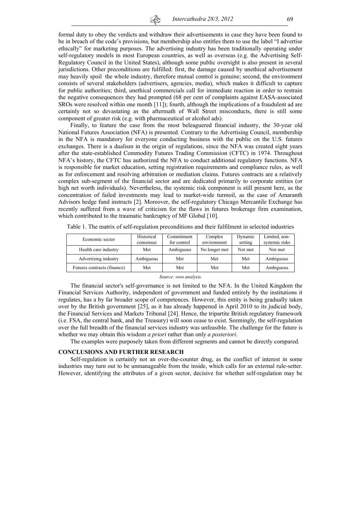formal duty to obey the verdicts and withdraw their advertisements in case they have been found to be in breach of the code's provisions, but membership also entitles them to use the label "I advertise ethically" for marketing purposes. The advertising industry has been traditionally operating under self-regulatory models in most European countries, as well as overseas (e.g. the Advertising Self-Regulatory Council in the United States), although some public oversight is also present in several jurisdictions. Other preconditions are fulfilled: first, the damage caused by unethical advertisement may heavily spoil the whole industry, therefore mutual control is genuine; second, the environment consists of several stakeholders (advertisers, agencies, media), which makes it difficult to capture for public authorities; third, unethical commercials call for immediate reaction in order to restrain the negative consequences they had prompted (68 per cent of complaints against EASA-associated SROs were resolved within one month [11]); fourth, although the implications of a fraudulent ad are certainly not so devastating as the aftermath of Wall Street misconducts, there is still some component of greater risk (e.g. with pharmaceutical or alcohol ads).

Finally, to feature the case from the most beleaguered financial industry, the 30-year old National Futures Association (NFA) is presented. Contrary to the Advertising Council, membership in the NFA is mandatory for everyone conducting business with the public on the U.S. futures exchanges. There is a dualism in the origin of regulations, since the NFA was created eight years after the state-established Commodity Futures Trading Commission (CFTC) in 1974. Throughout NFA's history, the CFTC has authorized the NFA to conduct additional regulatory functions. NFA is responsible for market education, setting registration requirements and compliance rules, as well as for enforcement and resolving arbitration or mediation claims. Futures contracts are a relatively complex sub-segment of the financial sector and are dedicated primarily to corporate entities (or high net worth individuals). Nevertheless, the systemic risk component is still present here, as the concentration of failed investments may lead to market-wide turmoil, as the case of Amaranth Advisors hedge fund instructs [2]. Moreover, the self-regulatory Chicago Mercantile Exchange has recently suffered from a wave of criticism for the flaws in futures brokerage firm examination, which contributed to the traumatic bankruptcy of MF Global [10].

| Economic sector             | Historical<br>consensus | Commitment<br>for control | Complex<br>environment | Dynamic<br>setting | Limited, non-<br>systemic risks |
|-----------------------------|-------------------------|---------------------------|------------------------|--------------------|---------------------------------|
| Health care industry        | Met                     | Ambiguous                 | No longer met          | Not met            | Not met                         |
| Advertising industry        | Ambiguous               | Met                       | Met                    | Met                | Ambiguous                       |
| Futures contracts (finance) | Met                     | Met                       | Met                    | Met                | Ambiguous                       |

Table 1. The matrix of self-regulation preconditions and their fulfilment in selected industries

*Source: own analysis.* 

The financial sector's self-governance is not limited to the NFA. In the United Kingdom the Financial Services Authority, independent of government and funded entirely by the institutions it regulates, has a by far broader scope of competences. However, this entity is being gradually taken over by the British government [25], as it has already happened in April 2010 to its judicial body, the Financial Services and Markets Tribunal [24]. Hence, the tripartite British regulatory framework (i.e. FSA, the central bank, and the Treasury) will soon cease to exist. Seemingly, the self-regulation over the full breadth of the financial services industry was unfeasible. The challenge for the future is whether we may obtain this wisdom *a priori* rather than only *a posteriori*.

The examples were purposely taken from different segments and cannot be directly compared.

#### **CONCLUSIONS AND FURTHER RESEARCH**

Self-regulation is certainly not an over-the-counter drug, as the conflict of interest in some industries may turn out to be unmanageable from the inside, which calls for an external rule-setter. However, identifying the attributes of a given sector, decisive for whether self-regulation may be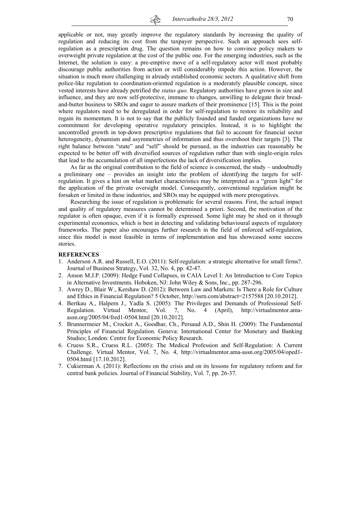applicable or not, may greatly improve the regulatory standards by increasing the quality of regulation and reducing its cost from the taxpayer perspective. Such an approach sees selfregulation as a prescription drug. The question remains on how to convince policy makers to overweight private regulation at the cost of the public one. For the emerging industries, such as the Internet, the solution is easy: a pre-emptive move of a self-regulatory actor will most probably discourage public authorities from action or will considerably impede this action. However, the situation is much more challenging in already established economic sectors. A qualitative shift from police-like regulation to coordination-oriented regulation is a moderately plausible concept, since vested interests have already petrified the *status quo*. Regulatory authorities have grown in size and influence, and they are now self-protective, immune to changes, unwilling to delegate their breadand-butter business to SROs and eager to assure markets of their prominence [15]. This is the point where regulators need to be deregulated in order for self-regulation to restore its reliability and regain its momentum. It is not to say that the publicly founded and funded organizations have no commitment for developing operative regulatory principles. Instead, it is to highlight the uncontrolled growth in top-down prescriptive regulations that fail to account for financial sector heterogeneity, dynamism and asymmetries of information and thus overshoot their targets [3]. The right balance between "state" and "self" should be pursued, as the industries can reasonably be expected to be better off with diversified sources of regulation rather than with single-origin rules that lead to the accumulation of all imperfections the lack of diversification implies.

As far as the original contribution to the field of science is concerned, the study – undoubtedly a preliminary one – provides an insight into the problem of identifying the targets for selfregulation. It gives a hint on what market characteristics may be interpreted as a "green light" for the application of the private oversight model. Consequently, conventional regulation might be forsaken or limited in these industries, and SROs may be equipped with more prerogatives.

Researching the issue of regulation is problematic for several reasons. First, the actual impact and quality of regulatory measures cannot be determined a priori. Second, the motivation of the regulator is often opaque, even if it is formally expressed. Some light may be shed on it through experimental economics, which is best in detecting and validating behavioural aspects of regulatory frameworks. The paper also encourages further research in the field of enforced self-regulation, since this model is most feasible in terms of implementation and has showcased some success stories.

#### **REFERENCES**

- 1. Anderson A.R. and Russell, E.O. (2011): Self-regulation: a strategic alternative for small firms?. Journal of Business Strategy, Vol. 32, No. 4, pp. 42-47.
- 2. Anson M.J.P. (2009): Hedge Fund Collapses, in CAIA Level I: An Introduction to Core Topics in Alternative Investments. Hoboken, NJ: John Wiley & Sons, Inc., pp. 287-296.
- 3. Awrey D., Blair W., Kershaw D. (2012): Between Law and Markets: Is There a Role for Culture and Ethics in Financial Regulation? 5 October, http://ssrn.com/abstract=2157588 [20.10.2012].
- 4. Bertkau A., Halpern J., Yadla S. (2005): The Privileges and Demands of Professional Self-Regulation. Virtual Mentor, Vol. 7, No. 4 (April), http://virtualmentor.amaassn.org/2005/04/fred1-0504.html [20.10.2012].
- 5. Brunnermeier M., Crocket A., Goodhar, Ch., Persaud A.D., Shin H. (2009): The Fundamental Principles of Financial Regulation. Geneva: International Center for Monetary and Banking Studies; London: Centre for Economic Policy Research.
- 6. Cruess S.R., Cruess R.L. (2005): The Medical Profession and Self-Regulation: A Current Challenge. Virtual Mentor, Vol. 7, No. 4, http://virtualmentor.ama-assn.org/2005/04/oped1- 0504.html [17.10.2012].
- 7. Cukierman A. (2011): Reflections on the crisis and on its lessons for regulatory reform and for central bank policies. Journal of Financial Stability, Vol. 7, pp. 26-37.